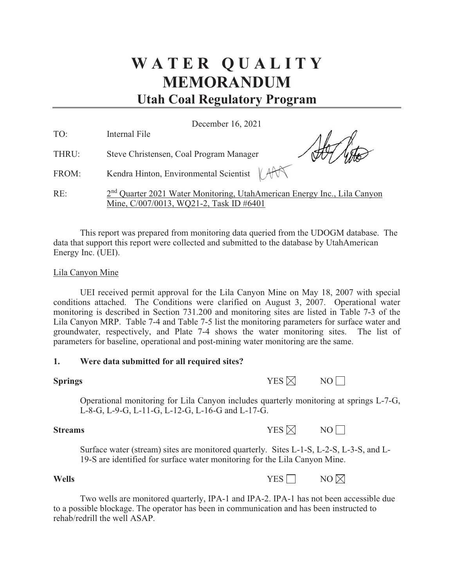# **W A T E R Q U A L I T Y MEMORANDUM Utah Coal Regulatory Program**

December 16, 2021

| TO:   | Internal File                                                                                                                   |
|-------|---------------------------------------------------------------------------------------------------------------------------------|
| THRU: | Steve Christensen, Coal Program Manager                                                                                         |
| FROM: | Kendra Hinton, Environmental Scientist   AV                                                                                     |
| RE:   | 2 <sup>nd</sup> Quarter 2021 Water Monitoring, UtahAmerican Energy Inc., Lila Canyon<br>Mine, C/007/0013, WQ21-2, Task ID #6401 |

This report was prepared from monitoring data queried from the UDOGM database. The data that support this report were collected and submitted to the database by UtahAmerican Energy Inc. (UEI).

#### Lila Canyon Mine

UEI received permit approval for the Lila Canyon Mine on May 18, 2007 with special conditions attached. The Conditions were clarified on August 3, 2007. Operational water monitoring is described in Section 731.200 and monitoring sites are listed in Table 7-3 of the Lila Canyon MRP. Table 7-4 and Table 7-5 list the monitoring parameters for surface water and groundwater, respectively, and Plate 7-4 shows the water monitoring sites. The list of parameters for baseline, operational and post-mining water monitoring are the same.

#### **1. Were data submitted for all required sites?**

| <b>Springs</b> | YES $\boxtimes$ | NO |
|----------------|-----------------|----|
|                |                 |    |

Operational monitoring for Lila Canyon includes quarterly monitoring at springs L-7-G, L-8-G, L-9-G, L-11-G, L-12-G, L-16-G and L-17-G.

**Streams**  $YES \times NOR$  NO  $\Box$ 

Surface water (stream) sites are monitored quarterly. Sites L-1-S, L-2-S, L-3-S, and L-19-S are identified for surface water monitoring for the Lila Canyon Mine.

#### **Wells** NO

Two wells are monitored quarterly, IPA-1 and IPA-2. IPA-1 has not been accessible due to a possible blockage. The operator has been in communication and has been instructed to rehab/redrill the well ASAP.